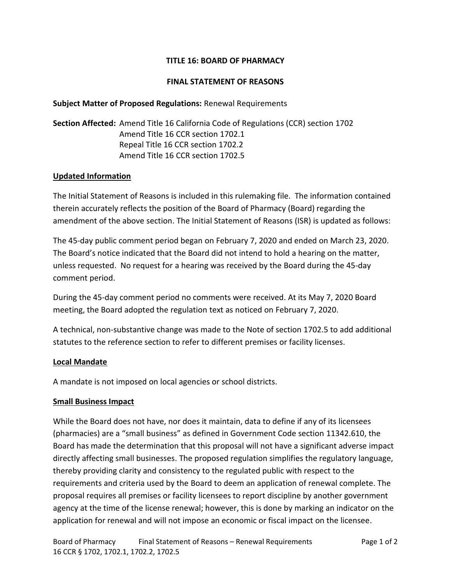# **TITLE 16: BOARD OF PHARMACY**

## **FINAL STATEMENT OF REASONS**

## **Subject Matter of Proposed Regulations:** Renewal Requirements

**Section Affected:** Amend Title 16 California Code of Regulations (CCR) section 1702 Amend Title 16 CCR section 1702.1 Repeal Title 16 CCR section 1702.2 Amend Title 16 CCR section 1702.5

#### **Updated Information**

The Initial Statement of Reasons is included in this rulemaking file. The information contained therein accurately reflects the position of the Board of Pharmacy (Board) regarding the amendment of the above section. The Initial Statement of Reasons (ISR) is updated as follows:

The 45-day public comment period began on February 7, 2020 and ended on March 23, 2020. The Board's notice indicated that the Board did not intend to hold a hearing on the matter, unless requested. No request for a hearing was received by the Board during the 45-day comment period.

During the 45-day comment period no comments were received. At its May 7, 2020 Board meeting, the Board adopted the regulation text as noticed on February 7, 2020.

A technical, non-substantive change was made to the Note of section 1702.5 to add additional statutes to the reference section to refer to different premises or facility licenses.

## **Local Mandate**

A mandate is not imposed on local agencies or school districts.

#### **Small Business Impact**

While the Board does not have, nor does it maintain, data to define if any of its licensees (pharmacies) are a "small business" as defined in Government Code section 11342.610, the Board has made the determination that this proposal will not have a significant adverse impact directly affecting small businesses. The proposed regulation simplifies the regulatory language, thereby providing clarity and consistency to the regulated public with respect to the requirements and criteria used by the Board to deem an application of renewal complete. The proposal requires all premises or facility licensees to report discipline by another government agency at the time of the license renewal; however, this is done by marking an indicator on the application for renewal and will not impose an economic or fiscal impact on the licensee.